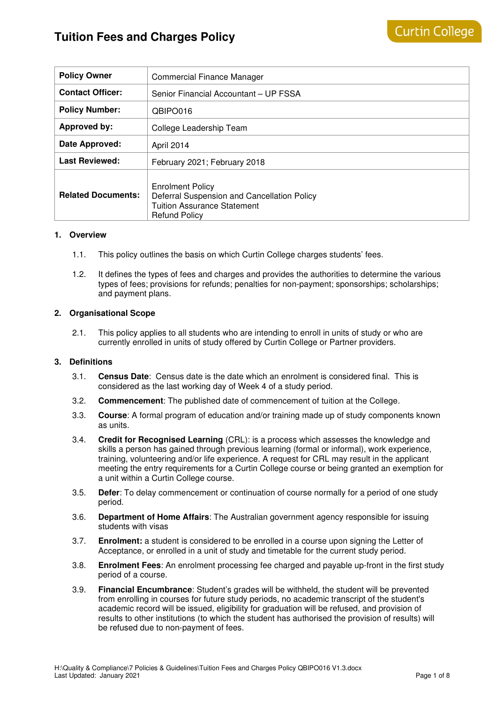| <b>Policy Owner</b>       | Commercial Finance Manager                                                                                                           |  |
|---------------------------|--------------------------------------------------------------------------------------------------------------------------------------|--|
| <b>Contact Officer:</b>   | Senior Financial Accountant - UP FSSA                                                                                                |  |
| <b>Policy Number:</b>     | QBIPO016                                                                                                                             |  |
| <b>Approved by:</b>       | College Leadership Team                                                                                                              |  |
| Date Approved:            | April 2014                                                                                                                           |  |
| <b>Last Reviewed:</b>     | February 2021; February 2018                                                                                                         |  |
| <b>Related Documents:</b> | <b>Enrolment Policy</b><br>Deferral Suspension and Cancellation Policy<br><b>Tuition Assurance Statement</b><br><b>Refund Policy</b> |  |

## **1. Overview**

- 1.1. This policy outlines the basis on which Curtin College charges students' fees.
- 1.2. It defines the types of fees and charges and provides the authorities to determine the various types of fees; provisions for refunds; penalties for non-payment; sponsorships; scholarships; and payment plans.

### **2. Organisational Scope**

2.1. This policy applies to all students who are intending to enroll in units of study or who are currently enrolled in units of study offered by Curtin College or Partner providers.

#### **3. Definitions**

- 3.1. **Census Date**: Census date is the date which an enrolment is considered final. This is considered as the last working day of Week 4 of a study period.
- 3.2. **Commencement**: The published date of commencement of tuition at the College.
- 3.3. **Course**: A formal program of education and/or training made up of study components known as units.
- 3.4. **Credit for Recognised Learning** (CRL): is a process which assesses the knowledge and skills a person has gained through previous learning (formal or informal), work experience, training, volunteering and/or life experience. A request for CRL may result in the applicant meeting the entry requirements for a Curtin College course or being granted an exemption for a unit within a Curtin College course.
- 3.5. **Defer**: To delay commencement or continuation of course normally for a period of one study period.
- 3.6. **Department of Home Affairs**: The Australian government agency responsible for issuing students with visas
- 3.7. **Enrolment:** a student is considered to be enrolled in a course upon signing the Letter of Acceptance, or enrolled in a unit of study and timetable for the current study period.
- 3.8. **Enrolment Fees**: An enrolment processing fee charged and payable up-front in the first study period of a course.
- 3.9. **Financial Encumbrance**: Student's grades will be withheld, the student will be prevented from enrolling in courses for future study periods, no academic transcript of the student's academic record will be issued, eligibility for graduation will be refused, and provision of results to other institutions (to which the student has authorised the provision of results) will be refused due to non-payment of fees.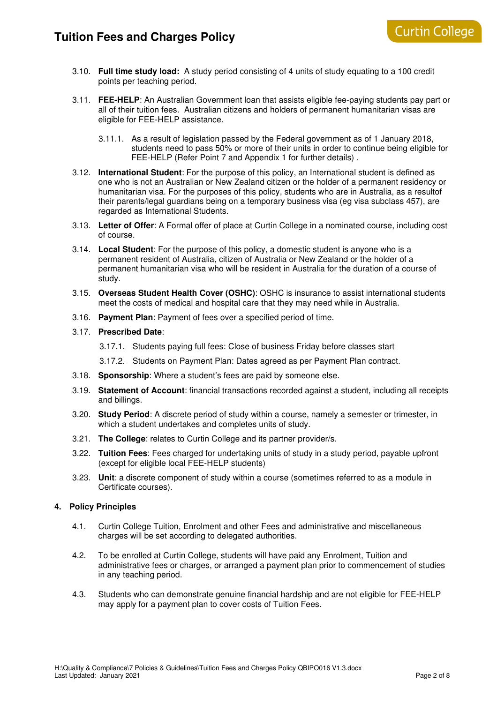- 3.10. **Full time study load:** A study period consisting of 4 units of study equating to a 100 credit points per teaching period.
- 3.11. **FEE-HELP**: An Australian Government loan that assists eligible fee-paying students pay part or all of their tuition fees. Australian citizens and holders of permanent humanitarian visas are eligible for FEE-HELP assistance.
	- 3.11.1. As a result of legislation passed by the Federal government as of 1 January 2018, students need to pass 50% or more of their units in order to continue being eligible for FEE-HELP (Refer Point 7 and Appendix 1 for further details) .
- 3.12. **International Student**: For the purpose of this policy, an International student is defined as one who is not an Australian or New Zealand citizen or the holder of a permanent residency or humanitarian visa. For the purposes of this policy, students who are in Australia, as a resultof their parents/legal guardians being on a temporary business visa (eg visa subclass 457), are regarded as International Students.
- 3.13. **Letter of Offer**: A Formal offer of place at Curtin College in a nominated course, including cost of course.
- 3.14. **Local Student**: For the purpose of this policy, a domestic student is anyone who is a permanent resident of Australia, citizen of Australia or New Zealand or the holder of a permanent humanitarian visa who will be resident in Australia for the duration of a course of study.
- 3.15. **Overseas Student Health Cover (OSHC)**: OSHC is insurance to assist international students meet the costs of medical and hospital care that they may need while in Australia.
- 3.16. **Payment Plan**: Payment of fees over a specified period of time.

### 3.17. **Prescribed Date**:

3.17.1. Students paying full fees: Close of business Friday before classes start

3.17.2. Students on Payment Plan: Dates agreed as per Payment Plan contract.

- 3.18. **Sponsorship**: Where a student's fees are paid by someone else.
- 3.19. **Statement of Account**: financial transactions recorded against a student, including all receipts and billings.
- 3.20. **Study Period**: A discrete period of study within a course, namely a semester or trimester, in which a student undertakes and completes units of study.
- 3.21. **The College**: relates to Curtin College and its partner provider/s.
- 3.22. **Tuition Fees**: Fees charged for undertaking units of study in a study period, payable upfront (except for eligible local FEE-HELP students)
- 3.23. **Unit**: a discrete component of study within a course (sometimes referred to as a module in Certificate courses).

## **4. Policy Principles**

- 4.1. Curtin College Tuition, Enrolment and other Fees and administrative and miscellaneous charges will be set according to delegated authorities.
- 4.2. To be enrolled at Curtin College, students will have paid any Enrolment, Tuition and administrative fees or charges, or arranged a payment plan prior to commencement of studies in any teaching period.
- 4.3. Students who can demonstrate genuine financial hardship and are not eligible for FEE-HELP may apply for a payment plan to cover costs of Tuition Fees.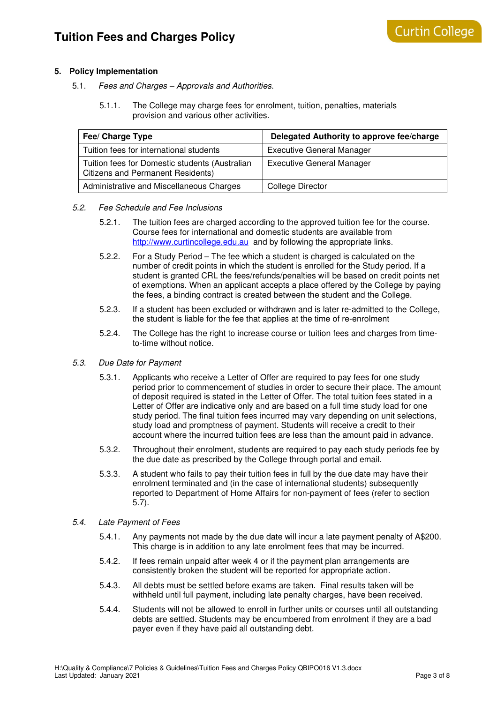## **5. Policy Implementation**

- 5.1. Fees and Charges Approvals and Authorities.
	- 5.1.1. The College may charge fees for enrolment, tuition, penalties, materials provision and various other activities.

| Fee/ Charge Type                                                                           | Delegated Authority to approve fee/charge |
|--------------------------------------------------------------------------------------------|-------------------------------------------|
| Tuition fees for international students                                                    | <b>Executive General Manager</b>          |
| Tuition fees for Domestic students (Australian<br><b>Citizens and Permanent Residents)</b> | <b>Executive General Manager</b>          |
| Administrative and Miscellaneous Charges                                                   | College Director                          |

### 5.2. Fee Schedule and Fee Inclusions

- 5.2.1. The tuition fees are charged according to the approved tuition fee for the course. Course fees for international and domestic students are available from http://www.curtincollege.edu.au and by following the appropriate links.
- 5.2.2. For a Study Period The fee which a student is charged is calculated on the number of credit points in which the student is enrolled for the Study period. If a student is granted CRL the fees/refunds/penalties will be based on credit points net of exemptions. When an applicant accepts a place offered by the College by paying the fees, a binding contract is created between the student and the College.
- 5.2.3. If a student has been excluded or withdrawn and is later re-admitted to the College, the student is liable for the fee that applies at the time of re-enrolment
- 5.2.4. The College has the right to increase course or tuition fees and charges from timeto-time without notice.
- 5.3. Due Date for Payment
	- 5.3.1. Applicants who receive a Letter of Offer are required to pay fees for one study period prior to commencement of studies in order to secure their place. The amount of deposit required is stated in the Letter of Offer. The total tuition fees stated in a Letter of Offer are indicative only and are based on a full time study load for one study period. The final tuition fees incurred may vary depending on unit selections, study load and promptness of payment. Students will receive a credit to their account where the incurred tuition fees are less than the amount paid in advance.
	- 5.3.2. Throughout their enrolment, students are required to pay each study periods fee by the due date as prescribed by the College through portal and email.
	- 5.3.3. A student who fails to pay their tuition fees in full by the due date may have their enrolment terminated and (in the case of international students) subsequently reported to Department of Home Affairs for non-payment of fees (refer to section 5.7).
- 5.4. Late Payment of Fees
	- 5.4.1. Any payments not made by the due date will incur a late payment penalty of A\$200. This charge is in addition to any late enrolment fees that may be incurred.
	- 5.4.2. If fees remain unpaid after week 4 or if the payment plan arrangements are consistently broken the student will be reported for appropriate action.
	- 5.4.3. All debts must be settled before exams are taken. Final results taken will be withheld until full payment, including late penalty charges, have been received.
	- 5.4.4. Students will not be allowed to enroll in further units or courses until all outstanding debts are settled. Students may be encumbered from enrolment if they are a bad payer even if they have paid all outstanding debt.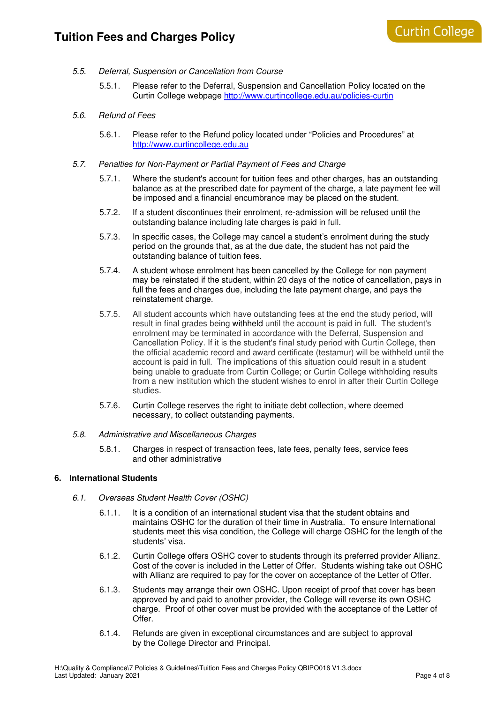- 5.5. Deferral, Suspension or Cancellation from Course
	- 5.5.1. Please refer to the Deferral, Suspension and Cancellation Policy located on the Curtin College webpage http://www.curtincollege.edu.au/policies-curtin
- 5.6. Refund of Fees
	- 5.6.1. Please refer to the Refund policy located under "Policies and Procedures" at http://www.curtincollege.edu.au
- 5.7. Penalties for Non-Payment or Partial Payment of Fees and Charge
	- 5.7.1. Where the student's account for tuition fees and other charges, has an outstanding balance as at the prescribed date for payment of the charge, a late payment fee will be imposed and a financial encumbrance may be placed on the student.
	- 5.7.2. If a student discontinues their enrolment, re-admission will be refused until the outstanding balance including late charges is paid in full.
	- 5.7.3. In specific cases, the College may cancel a student's enrolment during the study period on the grounds that, as at the due date, the student has not paid the outstanding balance of tuition fees.
	- 5.7.4. A student whose enrolment has been cancelled by the College for non payment may be reinstated if the student, within 20 days of the notice of cancellation, pays in full the fees and charges due, including the late payment charge, and pays the reinstatement charge.
	- 5.7.5. All student accounts which have outstanding fees at the end the study period, will result in final grades being withheld until the account is paid in full. The student's enrolment may be terminated in accordance with the Deferral, Suspension and Cancellation Policy. If it is the student's final study period with Curtin College, then the official academic record and award certificate (testamur) will be withheld until the account is paid in full. The implications of this situation could result in a student being unable to graduate from Curtin College; or Curtin College withholding results from a new institution which the student wishes to enrol in after their Curtin College studies.
	- 5.7.6. Curtin College reserves the right to initiate debt collection, where deemed necessary, to collect outstanding payments.

## 5.8. Administrative and Miscellaneous Charges

5.8.1. Charges in respect of transaction fees, late fees, penalty fees, service fees and other administrative

#### **6. International Students**

- 6.1. Overseas Student Health Cover (OSHC)
	- 6.1.1. It is a condition of an international student visa that the student obtains and maintains OSHC for the duration of their time in Australia. To ensure International students meet this visa condition, the College will charge OSHC for the length of the students' visa.
	- 6.1.2. Curtin College offers OSHC cover to students through its preferred provider Allianz. Cost of the cover is included in the Letter of Offer. Students wishing take out OSHC with Allianz are required to pay for the cover on acceptance of the Letter of Offer.
	- 6.1.3. Students may arrange their own OSHC. Upon receipt of proof that cover has been approved by and paid to another provider, the College will reverse its own OSHC charge. Proof of other cover must be provided with the acceptance of the Letter of Offer.
	- 6.1.4. Refunds are given in exceptional circumstances and are subject to approval by the College Director and Principal.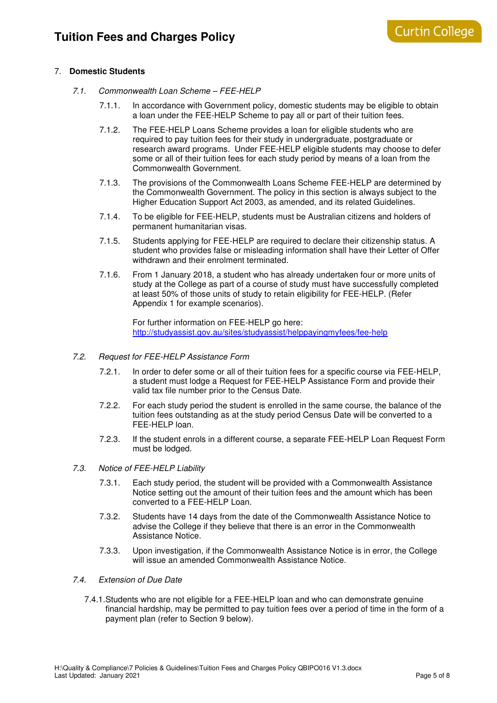## 7. **Domestic Students**

- 7.1. Commonwealth Loan Scheme FEE-HELP
	- 7.1.1. In accordance with Government policy, domestic students may be eligible to obtain a loan under the FEE-HELP Scheme to pay all or part of their tuition fees.
	- 7.1.2. The FEE-HELP Loans Scheme provides a loan for eligible students who are required to pay tuition fees for their study in undergraduate, postgraduate or research award programs. Under FEE-HELP eligible students may choose to defer some or all of their tuition fees for each study period by means of a loan from the Commonwealth Government.
	- 7.1.3. The provisions of the Commonwealth Loans Scheme FEE-HELP are determined by the Commonwealth Government. The policy in this section is always subject to the Higher Education Support Act 2003, as amended, and its related Guidelines.
	- 7.1.4. To be eligible for FEE-HELP, students must be Australian citizens and holders of permanent humanitarian visas.
	- 7.1.5. Students applying for FEE-HELP are required to declare their citizenship status. A student who provides false or misleading information shall have their Letter of Offer withdrawn and their enrolment terminated.
	- 7.1.6. From 1 January 2018, a student who has already undertaken four or more units of study at the College as part of a course of study must have successfully completed at least 50% of those units of study to retain eligibility for FEE-HELP. (Refer Appendix 1 for example scenarios).

For further information on FEE-HELP go here: http://studyassist.gov.au/sites/studyassist/helppayingmyfees/fee-help

- 7.2. Request for FEE-HELP Assistance Form
	- 7.2.1. In order to defer some or all of their tuition fees for a specific course via FEE-HELP, a student must lodge a Request for FEE-HELP Assistance Form and provide their valid tax file number prior to the Census Date.
	- 7.2.2. For each study period the student is enrolled in the same course, the balance of the tuition fees outstanding as at the study period Census Date will be converted to a FEE-HELP loan.
	- 7.2.3. If the student enrols in a different course, a separate FEE-HELP Loan Request Form must be lodged.
- 7.3. Notice of FEE-HELP Liability
	- 7.3.1. Each study period, the student will be provided with a Commonwealth Assistance Notice setting out the amount of their tuition fees and the amount which has been converted to a FEE-HELP Loan.
	- 7.3.2. Students have 14 days from the date of the Commonwealth Assistance Notice to advise the College if they believe that there is an error in the Commonwealth Assistance Notice.
	- 7.3.3. Upon investigation, if the Commonwealth Assistance Notice is in error, the College will issue an amended Commonwealth Assistance Notice.
- 7.4. Extension of Due Date
	- 7.4.1. Students who are not eligible for a FEE-HELP loan and who can demonstrate genuine financial hardship, may be permitted to pay tuition fees over a period of time in the form of a payment plan (refer to Section 9 below).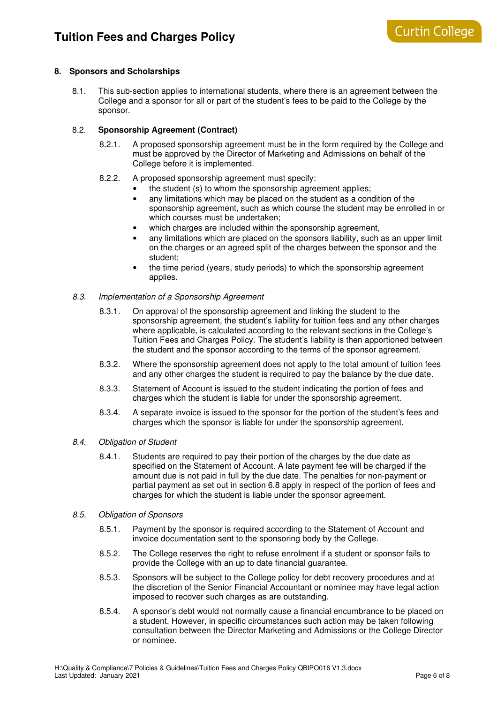## **8. Sponsors and Scholarships**

8.1. This sub-section applies to international students, where there is an agreement between the College and a sponsor for all or part of the student's fees to be paid to the College by the sponsor.

## 8.2. **Sponsorship Agreement (Contract)**

- 8.2.1. A proposed sponsorship agreement must be in the form required by the College and must be approved by the Director of Marketing and Admissions on behalf of the College before it is implemented.
- 8.2.2. A proposed sponsorship agreement must specify:
	- the student (s) to whom the sponsorship agreement applies;
	- any limitations which may be placed on the student as a condition of the sponsorship agreement, such as which course the student may be enrolled in or which courses must be undertaken;
	- which charges are included within the sponsorship agreement,
	- any limitations which are placed on the sponsors liability, such as an upper limit on the charges or an agreed split of the charges between the sponsor and the student;
	- the time period (years, study periods) to which the sponsorship agreement applies.

## 8.3. Implementation of a Sponsorship Agreement

- 8.3.1. On approval of the sponsorship agreement and linking the student to the sponsorship agreement, the student's liability for tuition fees and any other charges where applicable, is calculated according to the relevant sections in the College's Tuition Fees and Charges Policy. The student's liability is then apportioned between the student and the sponsor according to the terms of the sponsor agreement.
- 8.3.2. Where the sponsorship agreement does not apply to the total amount of tuition fees and any other charges the student is required to pay the balance by the due date.
- 8.3.3. Statement of Account is issued to the student indicating the portion of fees and charges which the student is liable for under the sponsorship agreement.
- 8.3.4. A separate invoice is issued to the sponsor for the portion of the student's fees and charges which the sponsor is liable for under the sponsorship agreement.

#### 8.4. Obligation of Student

8.4.1. Students are required to pay their portion of the charges by the due date as specified on the Statement of Account. A late payment fee will be charged if the amount due is not paid in full by the due date. The penalties for non-payment or partial payment as set out in section 6.8 apply in respect of the portion of fees and charges for which the student is liable under the sponsor agreement.

#### 8.5. Obligation of Sponsors

- 8.5.1. Payment by the sponsor is required according to the Statement of Account and invoice documentation sent to the sponsoring body by the College.
- 8.5.2. The College reserves the right to refuse enrolment if a student or sponsor fails to provide the College with an up to date financial guarantee.
- 8.5.3. Sponsors will be subject to the College policy for debt recovery procedures and at the discretion of the Senior Financial Accountant or nominee may have legal action imposed to recover such charges as are outstanding.
- 8.5.4. A sponsor's debt would not normally cause a financial encumbrance to be placed on a student. However, in specific circumstances such action may be taken following consultation between the Director Marketing and Admissions or the College Director or nominee.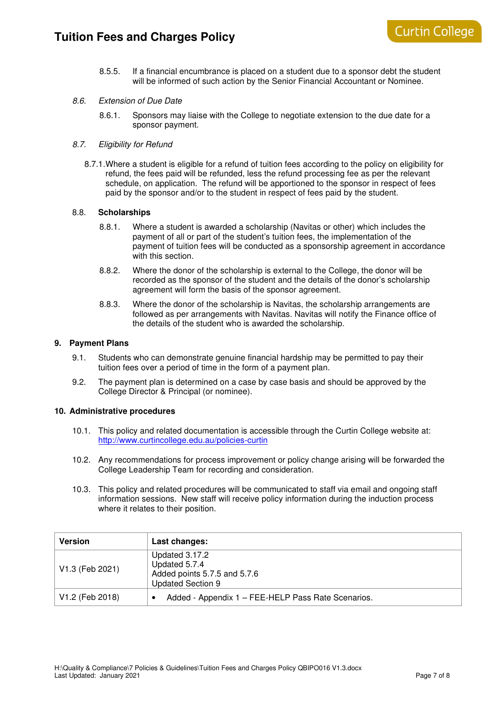8.5.5. If a financial encumbrance is placed on a student due to a sponsor debt the student will be informed of such action by the Senior Financial Accountant or Nominee.

#### 8.6. Extension of Due Date

8.6.1. Sponsors may liaise with the College to negotiate extension to the due date for a sponsor payment.

### 8.7. Eligibility for Refund

8.7.1. Where a student is eligible for a refund of tuition fees according to the policy on eligibility for refund, the fees paid will be refunded, less the refund processing fee as per the relevant schedule, on application. The refund will be apportioned to the sponsor in respect of fees paid by the sponsor and/or to the student in respect of fees paid by the student.

#### 8.8. **Scholarships**

- 8.8.1. Where a student is awarded a scholarship (Navitas or other) which includes the payment of all or part of the student's tuition fees, the implementation of the payment of tuition fees will be conducted as a sponsorship agreement in accordance with this section.
- 8.8.2. Where the donor of the scholarship is external to the College, the donor will be recorded as the sponsor of the student and the details of the donor's scholarship agreement will form the basis of the sponsor agreement.
- 8.8.3. Where the donor of the scholarship is Navitas, the scholarship arrangements are followed as per arrangements with Navitas. Navitas will notify the Finance office of the details of the student who is awarded the scholarship.

#### **9. Payment Plans**

- 9.1. Students who can demonstrate genuine financial hardship may be permitted to pay their tuition fees over a period of time in the form of a payment plan.
- 9.2. The payment plan is determined on a case by case basis and should be approved by the College Director & Principal (or nominee).

#### **10. Administrative procedures**

- 10.1. This policy and related documentation is accessible through the Curtin College website at: http://www.curtincollege.edu.au/policies-curtin
- 10.2. Any recommendations for process improvement or policy change arising will be forwarded the College Leadership Team for recording and consideration.
- 10.3. This policy and related procedures will be communicated to staff via email and ongoing staff information sessions. New staff will receive policy information during the induction process where it relates to their position.

| <b>Version</b>  | Last changes:                                            |
|-----------------|----------------------------------------------------------|
| V1.3 (Feb 2021) | Updated 3.17.2<br>Updated 5.7.4                          |
|                 | Added points 5.7.5 and 5.7.6<br><b>Updated Section 9</b> |
| V1.2 (Feb 2018) | Added - Appendix 1 - FEE-HELP Pass Rate Scenarios.       |